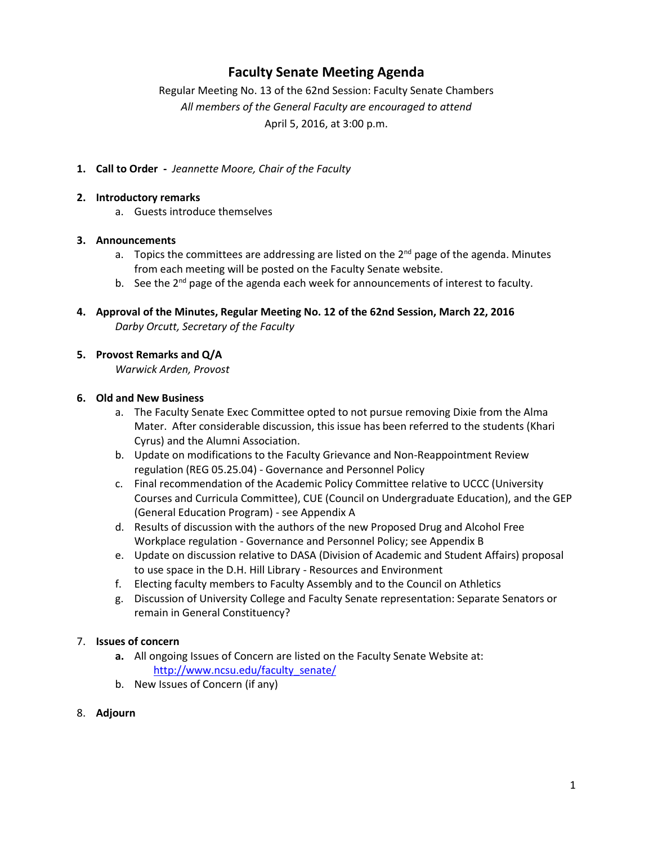## **Faculty Senate Meeting Agenda**

Regular Meeting No. 13 of the 62nd Session: Faculty Senate Chambers *All members of the General Faculty are encouraged to attend* April 5, 2016, at 3:00 p.m.

**1. Call to Order -** *Jeannette Moore, Chair of the Faculty*

### **2. Introductory remarks**

a. Guests introduce themselves

### **3. Announcements**

- a. Topics the committees are addressing are listed on the  $2^{nd}$  page of the agenda. Minutes from each meeting will be posted on the Faculty Senate website.
- b. See the 2<sup>nd</sup> page of the agenda each week for announcements of interest to faculty.
- **4. Approval of the Minutes, Regular Meeting No. 12 of the 62nd Session, March 22, 2016** *Darby Orcutt, Secretary of the Faculty*

### **5. Provost Remarks and Q/A**

*Warwick Arden, Provost*

#### **6. Old and New Business**

- a. The Faculty Senate Exec Committee opted to not pursue removing Dixie from the Alma Mater. After considerable discussion, this issue has been referred to the students (Khari Cyrus) and the Alumni Association.
- b. Update on modifications to the Faculty Grievance and Non-Reappointment Review regulation (REG 05.25.04) - Governance and Personnel Policy
- c. Final recommendation of the Academic Policy Committee relative to UCCC (University Courses and Curricula Committee), CUE (Council on Undergraduate Education), and the GEP (General Education Program) - see Appendix A
- d. Results of discussion with the authors of the new Proposed Drug and Alcohol Free Workplace regulation - Governance and Personnel Policy; see Appendix B
- e. Update on discussion relative to DASA (Division of Academic and Student Affairs) proposal to use space in the D.H. Hill Library - Resources and Environment
- f. Electing faculty members to Faculty Assembly and to the Council on Athletics
- g. Discussion of University College and Faculty Senate representation: Separate Senators or remain in General Constituency?

### 7. **Issues of concern**

- **a.** All ongoing Issues of Concern are listed on the Faculty Senate Website at: http://www.ncsu.edu/faculty\_senate/
- b. New Issues of Concern (if any)
- 8. **Adjourn**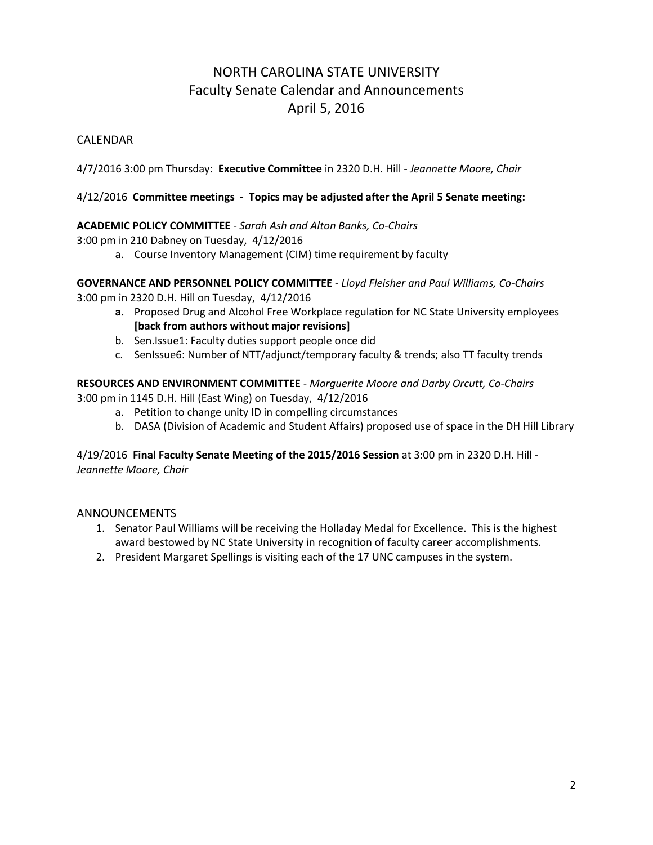# NORTH CAROLINA STATE UNIVERSITY Faculty Senate Calendar and Announcements April 5, 2016

## CALENDAR

4/7/2016 3:00 pm Thursday: **Executive Committee** in 2320 D.H. Hill *- Jeannette Moore, Chair*

### 4/12/2016 **Committee meetings - Topics may be adjusted after the April 5 Senate meeting:**

### **ACADEMIC POLICY COMMITTEE** - *Sarah Ash and Alton Banks, Co-Chairs*

3:00 pm in 210 Dabney on Tuesday, 4/12/2016

a. Course Inventory Management (CIM) time requirement by faculty

**GOVERNANCE AND PERSONNEL POLICY COMMITTEE** - *Lloyd Fleisher and Paul Williams, Co-Chairs* 3:00 pm in 2320 D.H. Hill on Tuesday, 4/12/2016

- **a.** Proposed Drug and Alcohol Free Workplace regulation for NC State University employees **[back from authors without major revisions]**
- b. Sen.Issue1: Faculty duties support people once did
- c. SenIssue6: Number of NTT/adjunct/temporary faculty & trends; also TT faculty trends

**RESOURCES AND ENVIRONMENT COMMITTEE** - *Marguerite Moore and Darby Orcutt, Co-Chairs* 3:00 pm in 1145 D.H. Hill (East Wing) on Tuesday, 4/12/2016

- a. Petition to change unity ID in compelling circumstances
- b. DASA (Division of Academic and Student Affairs) proposed use of space in the DH Hill Library

4/19/2016 **Final Faculty Senate Meeting of the 2015/2016 Session** at 3:00 pm in 2320 D.H. Hill - *Jeannette Moore, Chair*

### ANNOUNCEMENTS

- 1. Senator Paul Williams will be receiving the Holladay Medal for Excellence. This is the highest award bestowed by NC State University in recognition of faculty career accomplishments.
- 2. President Margaret Spellings is visiting each of the 17 UNC campuses in the system.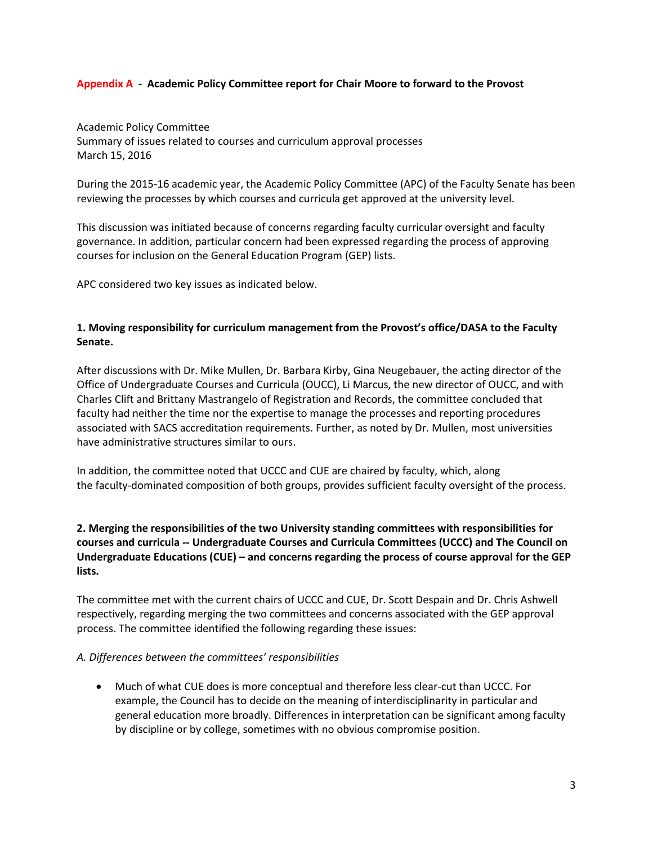#### **Appendix A - Academic Policy Committee report for Chair Moore to forward to the Provost**

Academic Policy Committee Summary of issues related to courses and curriculum approval processes March 15, 2016

During the 2015-16 academic year, the Academic Policy Committee (APC) of the Faculty Senate has been reviewing the processes by which courses and curricula get approved at the university level.

This discussion was initiated because of concerns regarding faculty curricular oversight and faculty governance. In addition, particular concern had been expressed regarding the process of approving courses for inclusion on the General Education Program (GEP) lists.

APC considered two key issues as indicated below.

### **1. Moving responsibility for curriculum management from the Provost's office/DASA to the Faculty Senate.**

After discussions with Dr. Mike Mullen, Dr. Barbara Kirby, Gina Neugebauer, the acting director of the Office of Undergraduate Courses and Curricula (OUCC), Li Marcus, the new director of OUCC, and with Charles Clift and Brittany Mastrangelo of Registration and Records, the committee concluded that faculty had neither the time nor the expertise to manage the processes and reporting procedures associated with SACS accreditation requirements. Further, as noted by Dr. Mullen, most universities have administrative structures similar to ours.

In addition, the committee noted that UCCC and CUE are chaired by faculty, which, along the faculty-dominated composition of both groups, provides sufficient faculty oversight of the process.

### **2. Merging the responsibilities of the two University standing committees with responsibilities for courses and curricula -- Undergraduate Courses and Curricula Committees (UCCC) and The Council on Undergraduate Educations (CUE) – and concerns regarding the process of course approval for the GEP lists.**

The committee met with the current chairs of UCCC and CUE, Dr. Scott Despain and Dr. Chris Ashwell respectively, regarding merging the two committees and concerns associated with the GEP approval process. The committee identified the following regarding these issues:

#### *A. Differences between the committees' responsibilities*

 Much of what CUE does is more conceptual and therefore less clear-cut than UCCC. For example, the Council has to decide on the meaning of interdisciplinarity in particular and general education more broadly. Differences in interpretation can be significant among faculty by discipline or by college, sometimes with no obvious compromise position.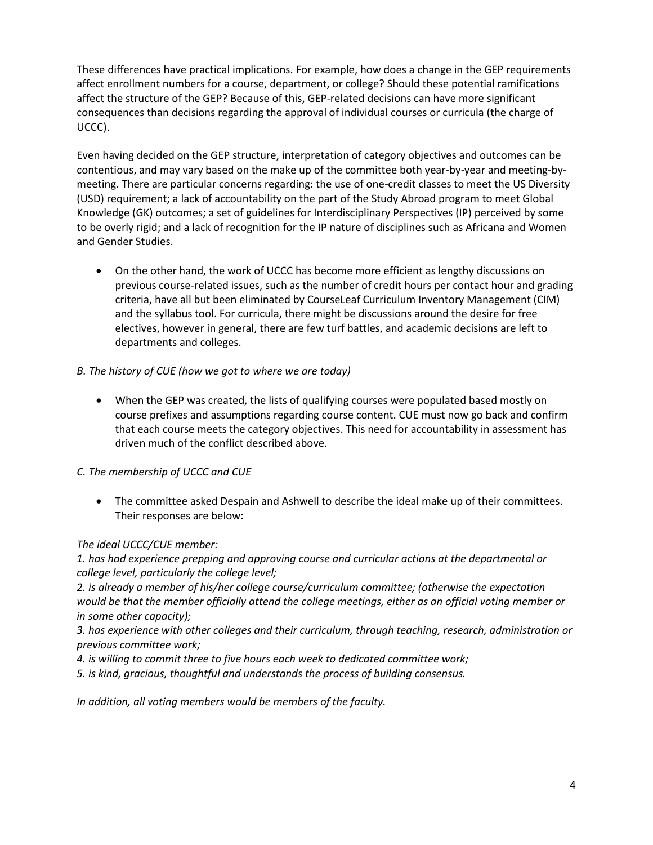These differences have practical implications. For example, how does a change in the GEP requirements affect enrollment numbers for a course, department, or college? Should these potential ramifications affect the structure of the GEP? Because of this, GEP-related decisions can have more significant consequences than decisions regarding the approval of individual courses or curricula (the charge of UCCC).

Even having decided on the GEP structure, interpretation of category objectives and outcomes can be contentious, and may vary based on the make up of the committee both year-by-year and meeting-bymeeting. There are particular concerns regarding: the use of one-credit classes to meet the US Diversity (USD) requirement; a lack of accountability on the part of the Study Abroad program to meet Global Knowledge (GK) outcomes; a set of guidelines for Interdisciplinary Perspectives (IP) perceived by some to be overly rigid; and a lack of recognition for the IP nature of disciplines such as Africana and Women and Gender Studies.

 On the other hand, the work of UCCC has become more efficient as lengthy discussions on previous course-related issues, such as the number of credit hours per contact hour and grading criteria, have all but been eliminated by CourseLeaf Curriculum Inventory Management (CIM) and the syllabus tool. For curricula, there might be discussions around the desire for free electives, however in general, there are few turf battles, and academic decisions are left to departments and colleges.

### *B. The history of CUE (how we got to where we are today)*

 When the GEP was created, the lists of qualifying courses were populated based mostly on course prefixes and assumptions regarding course content. CUE must now go back and confirm that each course meets the category objectives. This need for accountability in assessment has driven much of the conflict described above.

### *C. The membership of UCCC and CUE*

 The committee asked Despain and Ashwell to describe the ideal make up of their committees. Their responses are below:

#### *The ideal UCCC/CUE member:*

*1. has had experience prepping and approving course and curricular actions at the departmental or college level, particularly the college level;*

*2. is already a member of his/her college course/curriculum committee; (otherwise the expectation would be that the member officially attend the college meetings, either as an official voting member or in some other capacity);*

*3. has experience with other colleges and their curriculum, through teaching, research, administration or previous committee work;*

- *4. is willing to commit three to five hours each week to dedicated committee work;*
- *5. is kind, gracious, thoughtful and understands the process of building consensus.*

*In addition, all voting members would be members of the faculty.*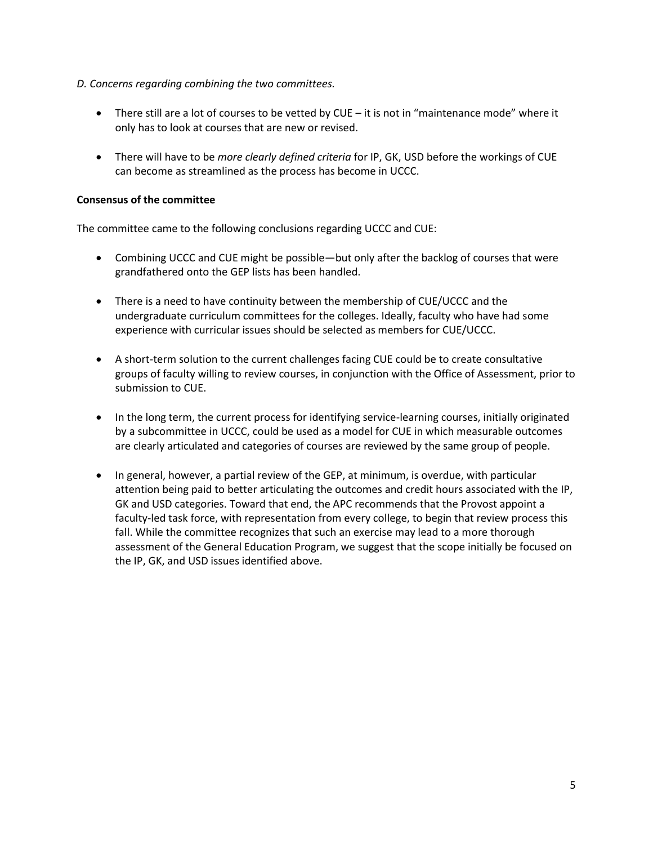#### *D. Concerns regarding combining the two committees.*

- There still are a lot of courses to be vetted by CUE it is not in "maintenance mode" where it only has to look at courses that are new or revised.
- There will have to be *more clearly defined criteria* for IP, GK, USD before the workings of CUE can become as streamlined as the process has become in UCCC.

#### **Consensus of the committee**

The committee came to the following conclusions regarding UCCC and CUE:

- Combining UCCC and CUE might be possible—but only after the backlog of courses that were grandfathered onto the GEP lists has been handled.
- There is a need to have continuity between the membership of CUE/UCCC and the undergraduate curriculum committees for the colleges. Ideally, faculty who have had some experience with curricular issues should be selected as members for CUE/UCCC.
- A short-term solution to the current challenges facing CUE could be to create consultative groups of faculty willing to review courses, in conjunction with the Office of Assessment, prior to submission to CUE.
- In the long term, the current process for identifying service-learning courses, initially originated by a subcommittee in UCCC, could be used as a model for CUE in which measurable outcomes are clearly articulated and categories of courses are reviewed by the same group of people.
- In general, however, a partial review of the GEP, at minimum, is overdue, with particular attention being paid to better articulating the outcomes and credit hours associated with the IP, GK and USD categories. Toward that end, the APC recommends that the Provost appoint a faculty-led task force, with representation from every college, to begin that review process this fall. While the committee recognizes that such an exercise may lead to a more thorough assessment of the General Education Program, we suggest that the scope initially be focused on the IP, GK, and USD issues identified above.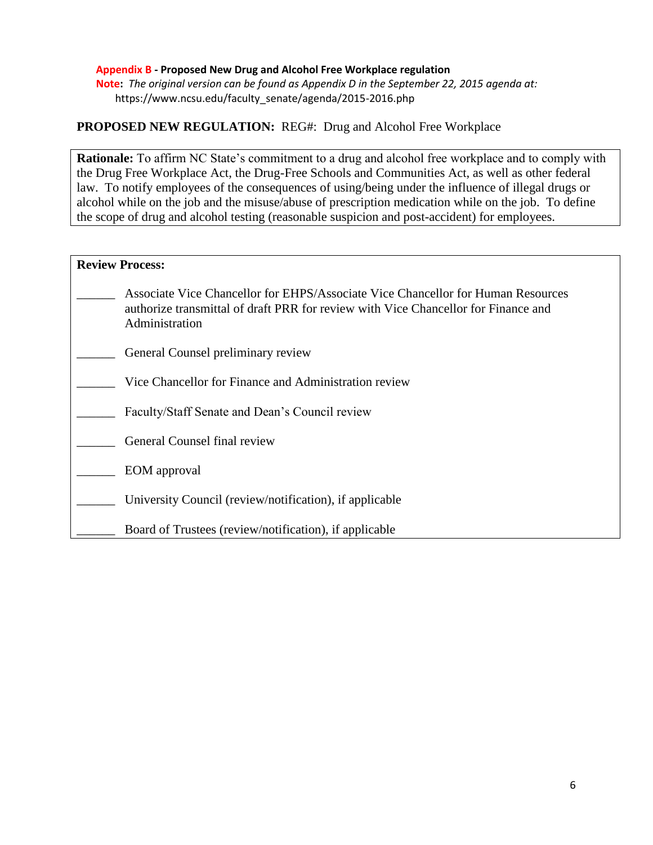#### **Appendix B - Proposed New Drug and Alcohol Free Workplace regulation**

**Note:** *The original version can be found as Appendix D in the September 22, 2015 agenda at:* https://www.ncsu.edu/faculty\_senate/agenda/2015-2016.php

### **PROPOSED NEW REGULATION:** REG#: Drug and Alcohol Free Workplace

**Rationale:** To affirm NC State's commitment to a drug and alcohol free workplace and to comply with the Drug Free Workplace Act, the Drug-Free Schools and Communities Act, as well as other federal law. To notify employees of the consequences of using/being under the influence of illegal drugs or alcohol while on the job and the misuse/abuse of prescription medication while on the job. To define the scope of drug and alcohol testing (reasonable suspicion and post-accident) for employees.

| <b>Review Process:</b> |                                                                                                                                                                                          |
|------------------------|------------------------------------------------------------------------------------------------------------------------------------------------------------------------------------------|
|                        | Associate Vice Chancellor for EHPS/Associate Vice Chancellor for Human Resources<br>authorize transmittal of draft PRR for review with Vice Chancellor for Finance and<br>Administration |
|                        | General Counsel preliminary review                                                                                                                                                       |
|                        | Vice Chancellor for Finance and Administration review                                                                                                                                    |
|                        | Faculty/Staff Senate and Dean's Council review                                                                                                                                           |
|                        | General Counsel final review                                                                                                                                                             |
|                        | EOM approval                                                                                                                                                                             |
|                        | University Council (review/notification), if applicable                                                                                                                                  |
|                        | Board of Trustees (review/notification), if applicable                                                                                                                                   |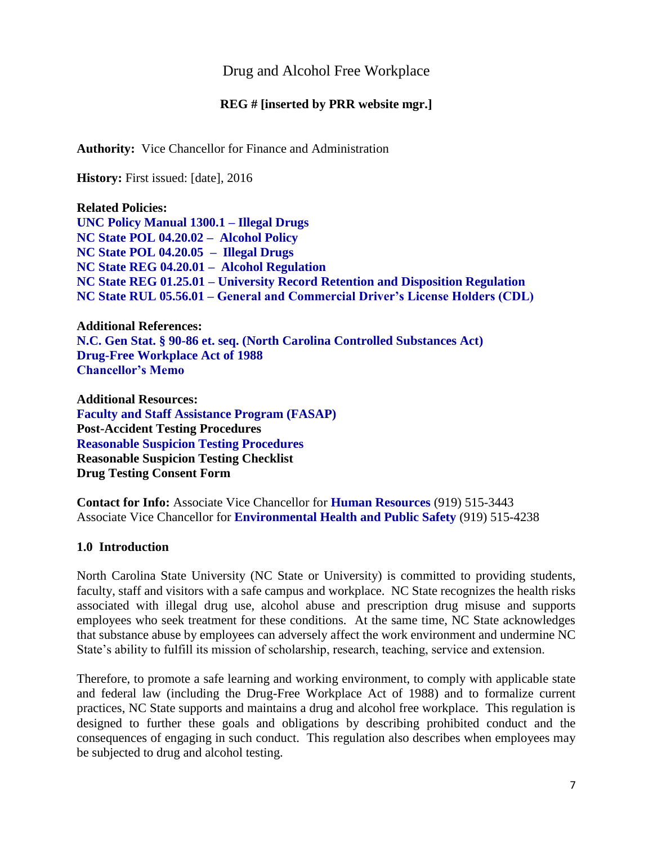## Drug and Alcohol Free Workplace

### **REG # [inserted by PRR website mgr.]**

**Authority:** Vice Chancellor for Finance and Administration

**History:** First issued: [date], 2016

**Related Policies: [UNC Policy Manual 1300.1 –](http://www.northcarolina.edu/policy/index.php) Illegal Drugs [NC State POL 04.20.02 – Alcohol Policy](http://policies.ncsu.edu/policy/pol-04-20-02) [NC State POL 04.20.05 – Illegal Drugs](http://policies.ncsu.edu/policy/pol-04-20-05) [NC State REG 04.20.01 – Alcohol Regulation](http://policies.ncsu.edu/regulation/reg-04-20-01) NC State REG 01.25.01 – [University Record Retention and Disposition Regulation](http://policies.ncsu.edu/regulation/reg-01-25-12) NC State RUL 05.56.01 – General and Commercial Driver's License Holders (CDL)**

**Additional References: [N.C. Gen Stat. § 90-86 et. seq. \(North Carolina Controlled Substances Act\)](http://www.ncga.state.nc.us/EnactedLegislation/Statutes/HTML/ByArticle/Chapter_90/Article_5.html) [Drug-Free Workplace Act of 1988](http://www.dol.gov/elaws/asp/drugfree/screen4.htm) [Chancellor's Memo](http://ncsu.edu/3d-memos/pdf/3dmemo-163.189-drug.free.schools.and.workplace.act.memo.2014.pdf)**

**Additional Resources: [Faculty and Staff Assistance Program \(FASAP\)](http://www.ncsu.edu/human_resources/er/fasap.php) Post-Accident Testing Procedures Reasonable Suspicion Testing Procedures Reasonable Suspicion Testing Checklist Drug Testing Consent Form**

**Contact for Info:** Associate Vice Chancellor for **[Human Resources](http://www2.acs.ncsu.edu/hr/)** (919) 515-3443 Associate Vice Chancellor for **[Environmental Health and Public Safety](http://www.ncsu.edu/ehps/)** (919) 515-4238

### **1.0 Introduction**

North Carolina State University (NC State or University) is committed to providing students, faculty, staff and visitors with a safe campus and workplace. NC State recognizes the health risks associated with illegal drug use, alcohol abuse and prescription drug misuse and supports employees who seek treatment for these conditions. At the same time, NC State acknowledges that substance abuse by employees can adversely affect the work environment and undermine NC State's ability to fulfill its mission of scholarship, research, teaching, service and extension.

Therefore, to promote a safe learning and working environment, to comply with applicable state and federal law (including the Drug-Free Workplace Act of 1988) and to formalize current practices, NC State supports and maintains a drug and alcohol free workplace. This regulation is designed to further these goals and obligations by describing prohibited conduct and the consequences of engaging in such conduct. This regulation also describes when employees may be subjected to drug and alcohol testing.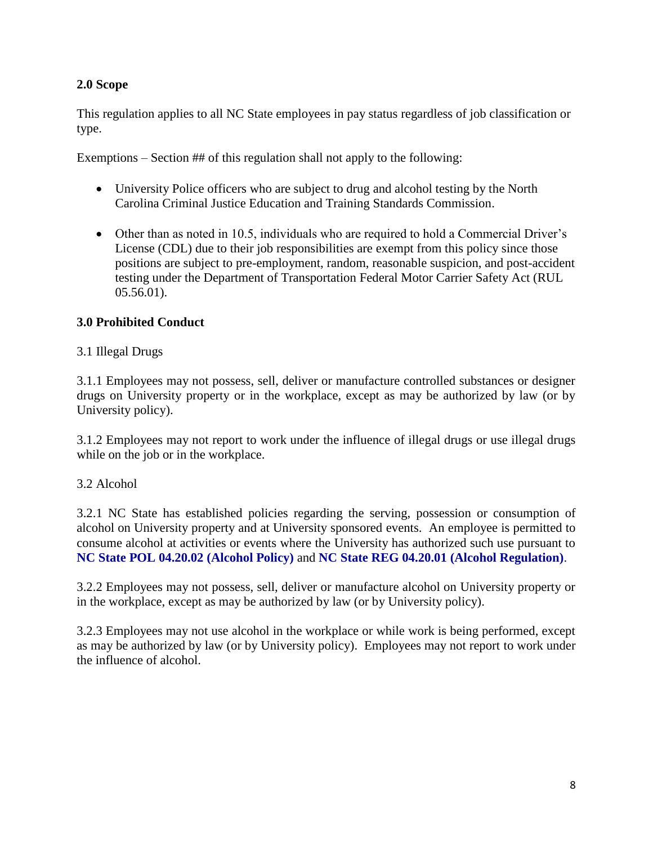## **2.0 Scope**

This regulation applies to all NC State employees in pay status regardless of job classification or type.

Exemptions – Section ## of this regulation shall not apply to the following:

- University Police officers who are subject to drug and alcohol testing by the North Carolina Criminal Justice Education and Training Standards Commission.
- Other than as noted in 10.5, individuals who are required to hold a Commercial Driver's License (CDL) due to their job responsibilities are exempt from this policy since those positions are subject to pre-employment, random, reasonable suspicion, and post-accident testing under the Department of Transportation Federal Motor Carrier Safety Act (RUL 05.56.01).

## **3.0 Prohibited Conduct**

## 3.1 Illegal Drugs

3.1.1 Employees may not possess, sell, deliver or manufacture controlled substances or designer drugs on University property or in the workplace, except as may be authorized by law (or by University policy).

3.1.2 Employees may not report to work under the influence of illegal drugs or use illegal drugs while on the job or in the workplace.

## 3.2 Alcohol

3.2.1 NC State has established policies regarding the serving, possession or consumption of alcohol on University property and at University sponsored events. An employee is permitted to consume alcohol at activities or events where the University has authorized such use pursuant to **[NC State POL 04.20.02 \(Alcohol Policy\)](http://www.ncsu.edu/policies/campus_environ/health_safety_welfare/POL04.20.2.php)** and **[NC State REG 04.20.01 \(Alcohol Regulation\)](http://www.ncsu.edu/policies/campus_environ/health_safety_welfare/REG04.20.1.php)**.

3.2.2 Employees may not possess, sell, deliver or manufacture alcohol on University property or in the workplace, except as may be authorized by law (or by University policy).

3.2.3 Employees may not use alcohol in the workplace or while work is being performed, except as may be authorized by law (or by University policy). Employees may not report to work under the influence of alcohol.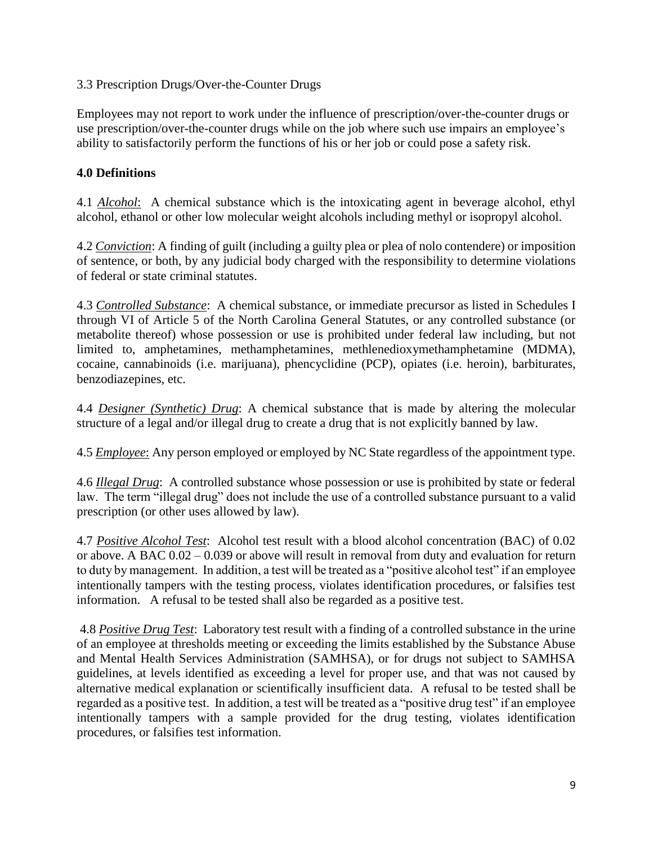### 3.3 Prescription Drugs/Over-the-Counter Drugs

Employees may not report to work under the influence of prescription/over-the-counter drugs or use prescription/over-the-counter drugs while on the job where such use impairs an employee's ability to satisfactorily perform the functions of his or her job or could pose a safety risk.

## **4.0 Definitions**

4.1 *Alcohol*: A chemical substance which is the intoxicating agent in beverage alcohol, ethyl alcohol, ethanol or other low molecular weight alcohols including methyl or isopropyl alcohol.

4.2 *Conviction*: A finding of guilt (including a guilty plea or plea of nolo contendere) or imposition of sentence, or both, by any judicial body charged with the responsibility to determine violations of federal or state criminal statutes.

4.3 *Controlled Substance*: A chemical substance, or immediate precursor as listed in Schedules I through VI of Article 5 of the North Carolina General Statutes, or any controlled substance (or metabolite thereof) whose possession or use is prohibited under federal law including, but not limited to, amphetamines, methamphetamines, methlenedioxymethamphetamine (MDMA), cocaine, cannabinoids (i.e. marijuana), phencyclidine (PCP), opiates (i.e. heroin), barbiturates, benzodiazepines, etc.

4.4 *Designer (Synthetic) Drug*: A chemical substance that is made by altering the molecular structure of a legal and/or illegal drug to create a drug that is not explicitly banned by law.

4.5 *Employee*: Any person employed or employed by NC State regardless of the appointment type.

4.6 *Illegal Drug*: A controlled substance whose possession or use is prohibited by state or federal law. The term "illegal drug" does not include the use of a controlled substance pursuant to a valid prescription (or other uses allowed by law).

4.7 *Positive Alcohol Test*: Alcohol test result with a blood alcohol concentration (BAC) of 0.02 or above. A BAC 0.02 – 0.039 or above will result in removal from duty and evaluation for return to duty by management. In addition, a test will be treated as a "positive alcohol test" if an employee intentionally tampers with the testing process, violates identification procedures, or falsifies test information. A refusal to be tested shall also be regarded as a positive test.

4.8 *Positive Drug Test*: Laboratory test result with a finding of a controlled substance in the urine of an employee at thresholds meeting or exceeding the limits established by the Substance Abuse and Mental Health Services Administration (SAMHSA), or for drugs not subject to SAMHSA guidelines, at levels identified as exceeding a level for proper use, and that was not caused by alternative medical explanation or scientifically insufficient data. A refusal to be tested shall be regarded as a positive test. In addition, a test will be treated as a "positive drug test" if an employee intentionally tampers with a sample provided for the drug testing, violates identification procedures, or falsifies test information.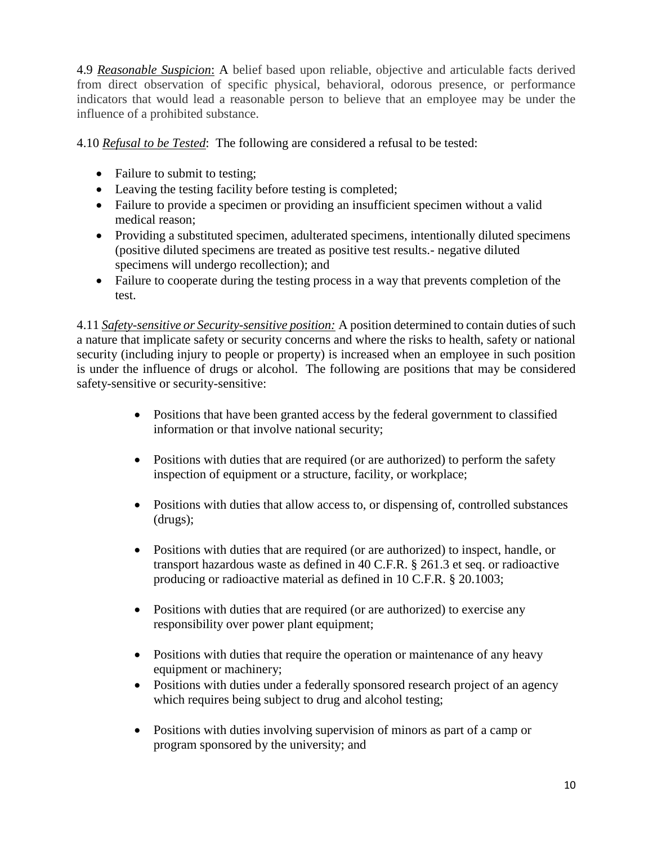4.9 *Reasonable Suspicion*: A belief based upon reliable, objective and articulable facts derived from direct observation of specific physical, behavioral, odorous presence, or performance indicators that would lead a reasonable person to believe that an employee may be under the influence of a prohibited substance.

4.10 *Refusal to be Tested*: The following are considered a refusal to be tested:

- Failure to submit to testing;
- Leaving the testing facility before testing is completed;
- Failure to provide a specimen or providing an insufficient specimen without a valid medical reason;
- Providing a substituted specimen, adulterated specimens, intentionally diluted specimens (positive diluted specimens are treated as positive test results.- negative diluted specimens will undergo recollection); and
- Failure to cooperate during the testing process in a way that prevents completion of the test.

4.11 *Safety-sensitive or Security-sensitive position:* A position determined to contain duties of such a nature that implicate safety or security concerns and where the risks to health, safety or national security (including injury to people or property) is increased when an employee in such position is under the influence of drugs or alcohol. The following are positions that may be considered safety-sensitive or security-sensitive:

- Positions that have been granted access by the federal government to classified information or that involve national security;
- Positions with duties that are required (or are authorized) to perform the safety inspection of equipment or a structure, facility, or workplace;
- Positions with duties that allow access to, or dispensing of, controlled substances (drugs);
- Positions with duties that are required (or are authorized) to inspect, handle, or transport hazardous waste as defined in 40 C.F.R. § 261.3 et seq. or radioactive producing or radioactive material as defined in 10 C.F.R. § 20.1003;
- Positions with duties that are required (or are authorized) to exercise any responsibility over power plant equipment;
- Positions with duties that require the operation or maintenance of any heavy equipment or machinery;
- Positions with duties under a federally sponsored research project of an agency which requires being subject to drug and alcohol testing;
- Positions with duties involving supervision of minors as part of a camp or program sponsored by the university; and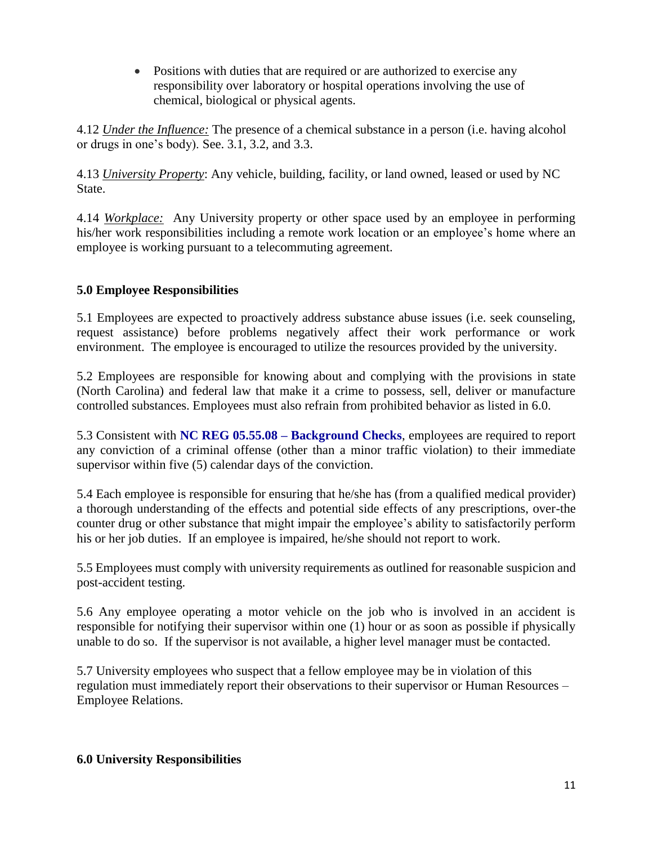• Positions with duties that are required or are authorized to exercise any responsibility over laboratory or hospital operations involving the use of chemical, biological or physical agents.

4.12 *Under the Influence:* The presence of a chemical substance in a person (i.e. having alcohol or drugs in one's body). See. 3.1, 3.2, and 3.3.

4.13 *University Property*: Any vehicle, building, facility, or land owned, leased or used by NC State.

4.14 *Workplace:* Any University property or other space used by an employee in performing his/her work responsibilities including a remote work location or an employee's home where an employee is working pursuant to a telecommuting agreement.

## **5.0 Employee Responsibilities**

5.1 Employees are expected to proactively address substance abuse issues (i.e. seek counseling, request assistance) before problems negatively affect their work performance or work environment. The employee is encouraged to utilize the resources provided by the university.

5.2 Employees are responsible for knowing about and complying with the provisions in state (North Carolina) and federal law that make it a crime to possess, sell, deliver or manufacture controlled substances. Employees must also refrain from prohibited behavior as listed in 6.0.

5.3 Consistent with **NC REG 05.55.08 – [Background Checks](http://policies.ncsu.edu/regulation/reg-05-55-08)**, employees are required to report any conviction of a criminal offense (other than a minor traffic violation) to their immediate supervisor within five (5) calendar days of the conviction.

5.4 Each employee is responsible for ensuring that he/she has (from a qualified medical provider) a thorough understanding of the effects and potential side effects of any prescriptions, over-the counter drug or other substance that might impair the employee's ability to satisfactorily perform his or her job duties. If an employee is impaired, he/she should not report to work.

5.5 Employees must comply with university requirements as outlined for reasonable suspicion and post-accident testing.

5.6 Any employee operating a motor vehicle on the job who is involved in an accident is responsible for notifying their supervisor within one (1) hour or as soon as possible if physically unable to do so. If the supervisor is not available, a higher level manager must be contacted.

5.7 University employees who suspect that a fellow employee may be in violation of this regulation must immediately report their observations to their supervisor or Human Resources – Employee Relations.

### **6.0 University Responsibilities**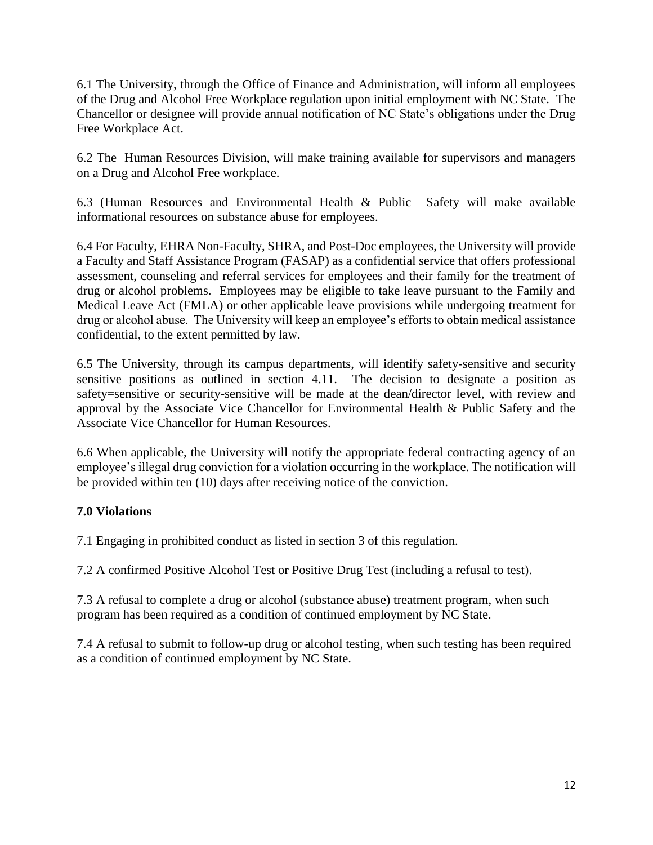6.1 The University, through the Office of Finance and Administration, will inform all employees of the Drug and Alcohol Free Workplace regulation upon initial employment with NC State. The Chancellor or designee will provide annual notification of NC State's obligations under the Drug Free Workplace Act.

6.2 The Human Resources Division, will make training available for supervisors and managers on a Drug and Alcohol Free workplace.

6.3 (Human Resources and Environmental Health & Public Safety will make available informational resources on substance abuse for employees.

6.4 For Faculty, EHRA Non-Faculty, SHRA, and Post-Doc employees, the University will provide a Faculty and Staff Assistance Program (FASAP) as a confidential service that offers professional assessment, counseling and referral services for employees and their family for the treatment of drug or alcohol problems. Employees may be eligible to take leave pursuant to the Family and Medical Leave Act (FMLA) or other applicable leave provisions while undergoing treatment for drug or alcohol abuse. The University will keep an employee's efforts to obtain medical assistance confidential, to the extent permitted by law.

6.5 The University, through its campus departments, will identify safety-sensitive and security sensitive positions as outlined in section 4.11. The decision to designate a position as safety=sensitive or security-sensitive will be made at the dean/director level, with review and approval by the Associate Vice Chancellor for Environmental Health & Public Safety and the Associate Vice Chancellor for Human Resources.

6.6 When applicable, the University will notify the appropriate federal contracting agency of an employee's illegal drug conviction for a violation occurring in the workplace. The notification will be provided within ten (10) days after receiving notice of the conviction.

## **7.0 Violations**

7.1 Engaging in prohibited conduct as listed in section 3 of this regulation.

7.2 A confirmed Positive Alcohol Test or Positive Drug Test (including a refusal to test).

7.3 A refusal to complete a drug or alcohol (substance abuse) treatment program, when such program has been required as a condition of continued employment by NC State.

7.4 A refusal to submit to follow-up drug or alcohol testing, when such testing has been required as a condition of continued employment by NC State.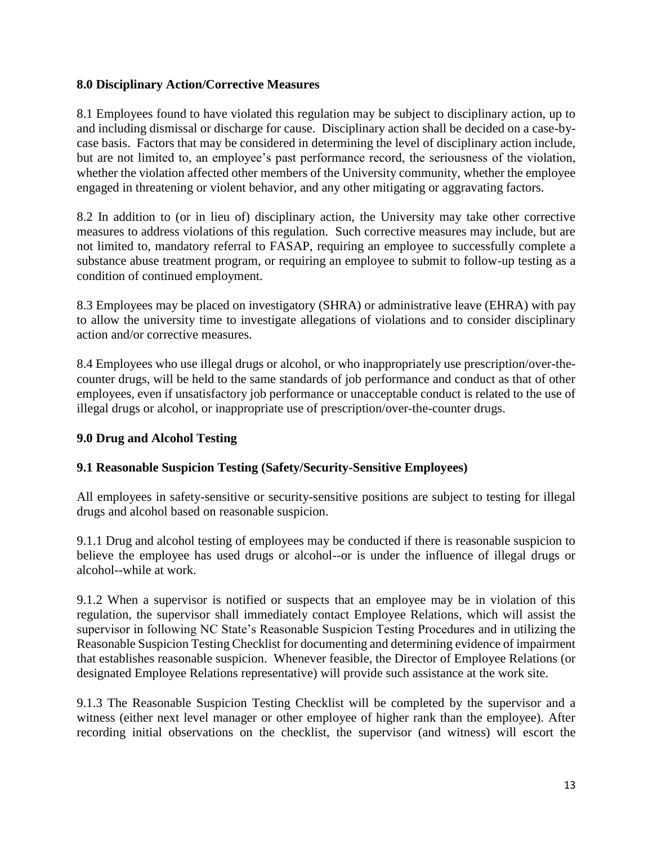## **8.0 Disciplinary Action/Corrective Measures**

8.1 Employees found to have violated this regulation may be subject to disciplinary action, up to and including dismissal or discharge for cause. Disciplinary action shall be decided on a case-bycase basis. Factors that may be considered in determining the level of disciplinary action include, but are not limited to, an employee's past performance record, the seriousness of the violation, whether the violation affected other members of the University community, whether the employee engaged in threatening or violent behavior, and any other mitigating or aggravating factors.

8.2 In addition to (or in lieu of) disciplinary action, the University may take other corrective measures to address violations of this regulation. Such corrective measures may include, but are not limited to, mandatory referral to FASAP, requiring an employee to successfully complete a substance abuse treatment program, or requiring an employee to submit to follow-up testing as a condition of continued employment.

8.3 Employees may be placed on investigatory (SHRA) or administrative leave (EHRA) with pay to allow the university time to investigate allegations of violations and to consider disciplinary action and/or corrective measures.

8.4 Employees who use illegal drugs or alcohol, or who inappropriately use prescription/over-thecounter drugs, will be held to the same standards of job performance and conduct as that of other employees, even if unsatisfactory job performance or unacceptable conduct is related to the use of illegal drugs or alcohol, or inappropriate use of prescription/over-the-counter drugs.

## **9.0 Drug and Alcohol Testing**

## **9.1 Reasonable Suspicion Testing (Safety/Security-Sensitive Employees)**

All employees in safety-sensitive or security-sensitive positions are subject to testing for illegal drugs and alcohol based on reasonable suspicion.

9.1.1 Drug and alcohol testing of employees may be conducted if there is reasonable suspicion to believe the employee has used drugs or alcohol--or is under the influence of illegal drugs or alcohol--while at work.

9.1.2 When a supervisor is notified or suspects that an employee may be in violation of this regulation, the supervisor shall immediately contact Employee Relations, which will assist the supervisor in following NC State's Reasonable Suspicion Testing Procedures and in utilizing the Reasonable Suspicion Testing Checklist for documenting and determining evidence of impairment that establishes reasonable suspicion. Whenever feasible, the Director of Employee Relations (or designated Employee Relations representative) will provide such assistance at the work site.

9.1.3 The Reasonable Suspicion Testing Checklist will be completed by the supervisor and a witness (either next level manager or other employee of higher rank than the employee). After recording initial observations on the checklist, the supervisor (and witness) will escort the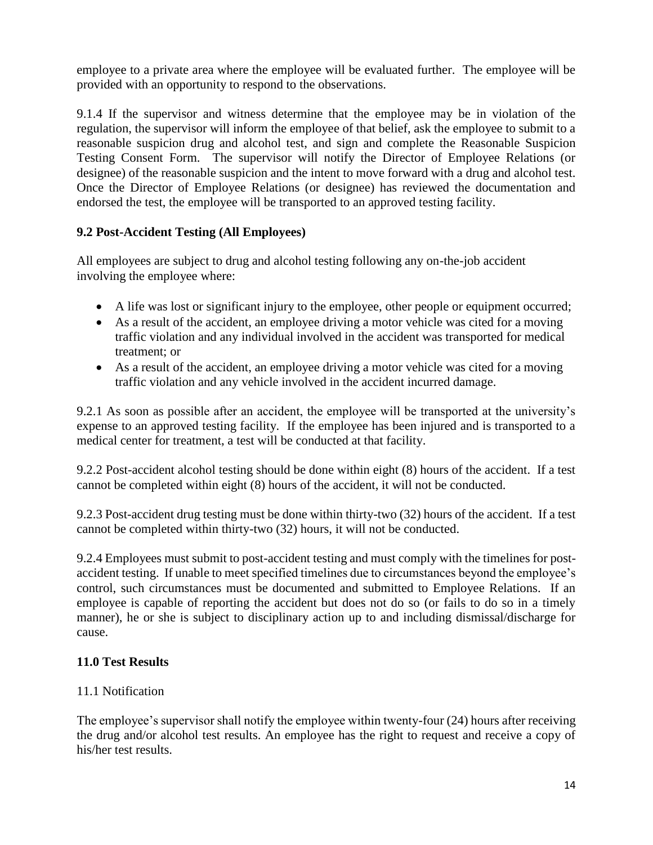employee to a private area where the employee will be evaluated further. The employee will be provided with an opportunity to respond to the observations.

9.1.4 If the supervisor and witness determine that the employee may be in violation of the regulation, the supervisor will inform the employee of that belief, ask the employee to submit to a reasonable suspicion drug and alcohol test, and sign and complete the Reasonable Suspicion Testing Consent Form. The supervisor will notify the Director of Employee Relations (or designee) of the reasonable suspicion and the intent to move forward with a drug and alcohol test. Once the Director of Employee Relations (or designee) has reviewed the documentation and endorsed the test, the employee will be transported to an approved testing facility.

## **9.2 Post-Accident Testing (All Employees)**

All employees are subject to drug and alcohol testing following any on-the-job accident involving the employee where:

- A life was lost or significant injury to the employee, other people or equipment occurred;
- As a result of the accident, an employee driving a motor vehicle was cited for a moving traffic violation and any individual involved in the accident was transported for medical treatment; or
- As a result of the accident, an employee driving a motor vehicle was cited for a moving traffic violation and any vehicle involved in the accident incurred damage.

9.2.1 As soon as possible after an accident, the employee will be transported at the university's expense to an approved testing facility. If the employee has been injured and is transported to a medical center for treatment, a test will be conducted at that facility.

9.2.2 Post-accident alcohol testing should be done within eight (8) hours of the accident. If a test cannot be completed within eight (8) hours of the accident, it will not be conducted.

9.2.3 Post-accident drug testing must be done within thirty-two (32) hours of the accident. If a test cannot be completed within thirty-two (32) hours, it will not be conducted.

9.2.4 Employees must submit to post-accident testing and must comply with the timelines for postaccident testing. If unable to meet specified timelines due to circumstances beyond the employee's control, such circumstances must be documented and submitted to Employee Relations. If an employee is capable of reporting the accident but does not do so (or fails to do so in a timely manner), he or she is subject to disciplinary action up to and including dismissal/discharge for cause.

## **11.0 Test Results**

## 11.1 Notification

The employee's supervisor shall notify the employee within twenty-four (24) hours after receiving the drug and/or alcohol test results. An employee has the right to request and receive a copy of his/her test results.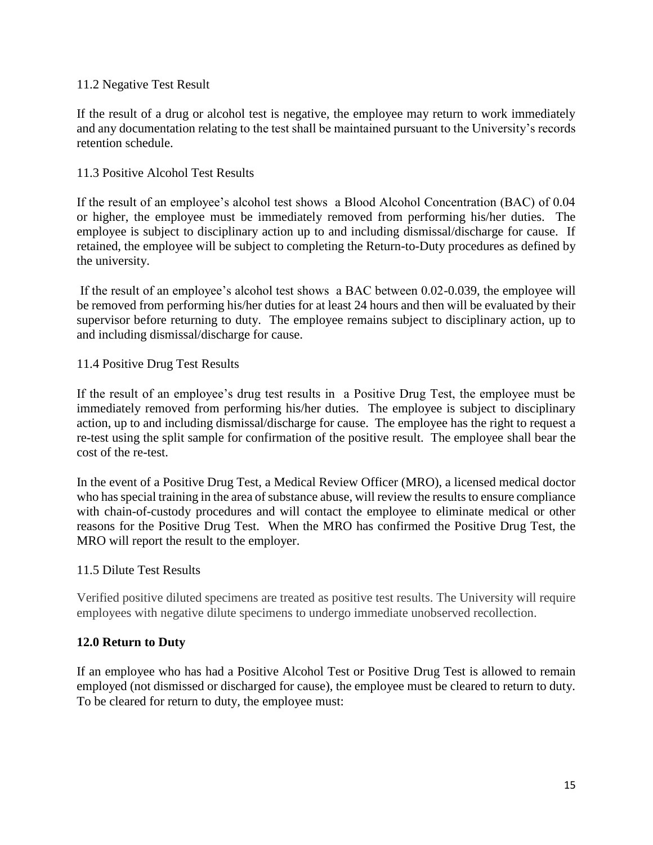### 11.2 Negative Test Result

If the result of a drug or alcohol test is negative, the employee may return to work immediately and any documentation relating to the test shall be maintained pursuant to the University's records retention schedule.

### 11.3 Positive Alcohol Test Results

If the result of an employee's alcohol test shows a Blood Alcohol Concentration (BAC) of 0.04 or higher, the employee must be immediately removed from performing his/her duties. The employee is subject to disciplinary action up to and including dismissal/discharge for cause. If retained, the employee will be subject to completing the Return-to-Duty procedures as defined by the university.

If the result of an employee's alcohol test shows a BAC between 0.02-0.039, the employee will be removed from performing his/her duties for at least 24 hours and then will be evaluated by their supervisor before returning to duty. The employee remains subject to disciplinary action, up to and including dismissal/discharge for cause.

### 11.4 Positive Drug Test Results

If the result of an employee's drug test results in a Positive Drug Test, the employee must be immediately removed from performing his/her duties. The employee is subject to disciplinary action, up to and including dismissal/discharge for cause. The employee has the right to request a re-test using the split sample for confirmation of the positive result. The employee shall bear the cost of the re-test.

In the event of a Positive Drug Test, a Medical Review Officer (MRO), a licensed medical doctor who has special training in the area of substance abuse, will review the results to ensure compliance with chain-of-custody procedures and will contact the employee to eliminate medical or other reasons for the Positive Drug Test. When the MRO has confirmed the Positive Drug Test, the MRO will report the result to the employer.

### 11.5 Dilute Test Results

Verified positive diluted specimens are treated as positive test results. The University will require employees with negative dilute specimens to undergo immediate unobserved recollection.

## **12.0 Return to Duty**

If an employee who has had a Positive Alcohol Test or Positive Drug Test is allowed to remain employed (not dismissed or discharged for cause), the employee must be cleared to return to duty. To be cleared for return to duty, the employee must: